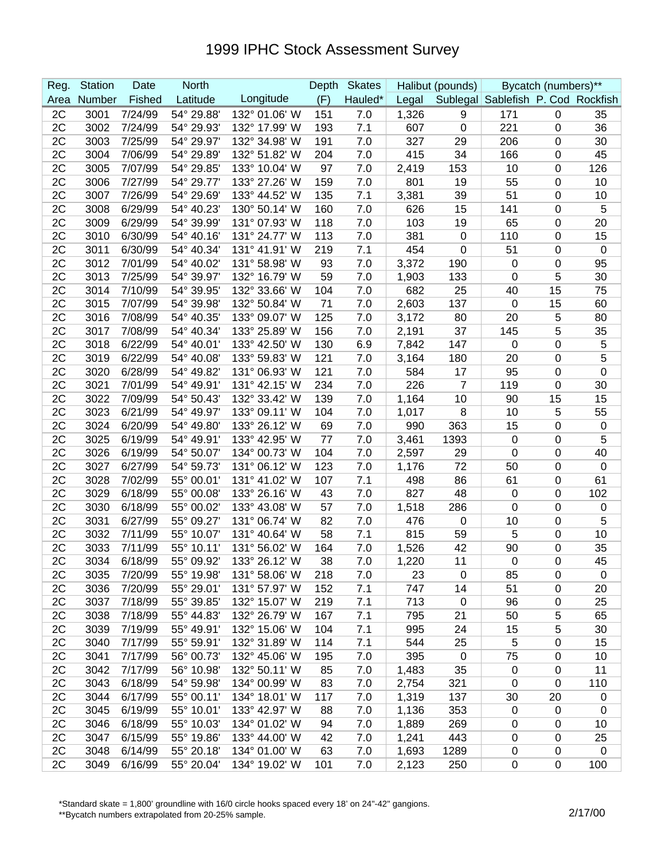## 1999 IPHC Stock Assessment Survey

| Reg. | <b>Station</b> | Date    | <b>North</b> |               | Depth | <b>Skates</b> | Halibut (pounds) |             | Bycatch (numbers)**                |                  |             |
|------|----------------|---------|--------------|---------------|-------|---------------|------------------|-------------|------------------------------------|------------------|-------------|
| Area | Number         | Fished  | Latitude     | Longitude     | (F)   | Hauled*       | Legal            |             | Sublegal Sablefish P. Cod Rockfish |                  |             |
| 2C   | 3001           | 7/24/99 | 54° 29.88'   | 132° 01.06' W | 151   | 7.0           | 1,326            | 9           | 171                                | $\pmb{0}$        | 35          |
| 2C   | 3002           | 7/24/99 | 54° 29.93'   | 132° 17.99' W | 193   | 7.1           | 607              | $\pmb{0}$   | 221                                | 0                | 36          |
| 2C   | 3003           | 7/25/99 | 54° 29.97'   | 132° 34.98' W | 191   | 7.0           | 327              | 29          | 206                                | 0                | 30          |
| 2C   | 3004           | 7/06/99 | 54° 29.89'   | 132° 51.82' W | 204   | 7.0           | 415              | 34          | 166                                | 0                | 45          |
| 2C   | 3005           | 7/07/99 | 54° 29.85'   | 133° 10.04' W | 97    | 7.0           | 2,419            | 153         | 10                                 | 0                | 126         |
| 2C   | 3006           | 7/27/99 | 54° 29.77'   | 133° 27.26' W | 159   | 7.0           | 801              | 19          | 55                                 | 0                | 10          |
| 2C   | 3007           | 7/26/99 | 54° 29.69'   | 133° 44.52' W | 135   | 7.1           | 3,381            | 39          | 51                                 | 0                | 10          |
| 2C   | 3008           | 6/29/99 | 54° 40.23'   | 130° 50.14' W | 160   | 7.0           | 626              | 15          | 141                                | 0                | 5           |
| 2C   | 3009           | 6/29/99 | 54° 39.99'   | 131° 07.93' W | 118   | 7.0           | 103              | 19          | 65                                 | 0                | 20          |
| 2C   | 3010           | 6/30/99 | 54° 40.16'   | 131° 24.77' W | 113   | 7.0           | 381              | 0           | 110                                | 0                | 15          |
| 2C   | 3011           | 6/30/99 | 54° 40.34'   | 131° 41.91' W | 219   | 7.1           | 454              | $\mathbf 0$ | 51                                 | 0                | 0           |
| 2C   | 3012           | 7/01/99 | 54° 40.02'   | 131° 58.98' W | 93    | 7.0           | 3,372            | 190         | 0                                  | 0                | 95          |
| 2C   | 3013           | 7/25/99 | 54° 39.97'   | 132° 16.79' W | 59    | 7.0           | 1,903            | 133         | 0                                  | 5                | 30          |
| 2C   | 3014           | 7/10/99 | 54° 39.95'   | 132° 33.66' W | 104   | 7.0           | 682              | 25          | 40                                 | 15               | 75          |
| 2C   | 3015           | 7/07/99 | 54° 39.98'   | 132° 50.84' W | 71    | 7.0           | 2,603            | 137         | 0                                  | 15               | 60          |
| 2C   | 3016           | 7/08/99 | 54° 40.35'   | 133° 09.07' W | 125   | 7.0           | 3,172            | 80          | 20                                 | 5                | 80          |
| 2C   | 3017           | 7/08/99 | 54° 40.34'   | 133° 25.89' W | 156   | 7.0           | 2,191            | 37          | 145                                | 5                | 35          |
| 2C   | 3018           | 6/22/99 | 54° 40.01'   | 133° 42.50' W | 130   | 6.9           | 7,842            | 147         | 0                                  | 0                | 5           |
| 2C   | 3019           | 6/22/99 | 54° 40.08'   | 133° 59.83' W | 121   | 7.0           | 3,164            | 180         | 20                                 | 0                | 5           |
| 2C   | 3020           | 6/28/99 | 54° 49.82'   | 131° 06.93' W | 121   | 7.0           | 584              | 17          | 95                                 | 0                | 0           |
| 2C   | 3021           | 7/01/99 | 54° 49.91'   | 131° 42.15' W | 234   | 7.0           | 226              | 7           | 119                                | 0                | 30          |
| 2C   | 3022           | 7/09/99 | 54° 50.43'   | 132° 33.42' W | 139   | 7.0           | 1,164            | 10          | 90                                 | 15               | 15          |
| 2C   | 3023           | 6/21/99 | 54° 49.97'   | 133° 09.11' W | 104   | 7.0           | 1,017            | 8           | 10                                 | 5                | 55          |
| 2C   | 3024           | 6/20/99 | 54° 49.80'   | 133° 26.12' W | 69    | 7.0           | 990              | 363         | 15                                 | 0                | 0           |
| 2C   | 3025           | 6/19/99 | 54° 49.91'   | 133° 42.95' W | 77    | 7.0           | 3,461            | 1393        | $\mathbf 0$                        | 0                | 5           |
| 2C   | 3026           | 6/19/99 | 54° 50.07'   | 134° 00.73' W | 104   | 7.0           | 2,597            | 29          | 0                                  | 0                | 40          |
| 2C   | 3027           | 6/27/99 | 54° 59.73'   | 131° 06.12' W | 123   | 7.0           | 1,176            | 72          | 50                                 | 0                | $\mathbf 0$ |
| 2C   | 3028           | 7/02/99 | 55° 00.01'   | 131° 41.02' W | 107   | 7.1           | 498              | 86          | 61                                 | 0                | 61          |
| 2C   | 3029           | 6/18/99 | 55° 00.08'   | 133° 26.16' W | 43    | 7.0           | 827              | 48          | 0                                  | 0                | 102         |
| 2C   | 3030           | 6/18/99 | 55° 00.02'   | 133° 43.08' W | 57    | 7.0           | 1,518            | 286         | 0                                  | 0                | 0           |
| 2C   | 3031           | 6/27/99 | 55° 09.27'   | 131° 06.74' W | 82    | 7.0           | 476              | 0           | 10                                 | 0                | 5           |
| 2C   | 3032           | 7/11/99 | 55° 10.07'   | 131° 40.64' W | 58    | 7.1           | 815              | 59          | 5                                  | 0                | 10          |
| 2C   | 3033           | 7/11/99 | 55° 10.11'   | 131° 56.02' W | 164   | 7.0           | 1,526            | 42          | 90                                 | 0                | 35          |
| 2C   | 3034           | 6/18/99 | 55° 09.92'   | 133° 26.12' W | 38    | 7.0           | 1,220            | 11          | $\mathbf 0$                        | $\Omega$         | 45          |
| 2C   | 3035           | 7/20/99 | 55° 19.98'   | 131° 58.06' W | 218   | 7.0           | 23               | 0           | 85                                 | 0                | $\mathbf 0$ |
| 2C   | 3036           | 7/20/99 | 55° 29.01'   | 131° 57.97' W | 152   | 7.1           | 747              | 14          | 51                                 | $\pmb{0}$        | 20          |
| 2C   | 3037           | 7/18/99 | 55° 39.85'   | 132° 15.07' W | 219   | 7.1           | 713              | $\pmb{0}$   | 96                                 | 0                | 25          |
| 2C   | 3038           | 7/18/99 | 55° 44.83'   | 132° 26.79' W | 167   | 7.1           | 795              | 21          | 50                                 | 5                | 65          |
| 2C   | 3039           | 7/19/99 | 55° 49.91'   | 132° 15.06' W | 104   | 7.1           | 995              | 24          | 15                                 | 5                | 30          |
| 2C   | 3040           | 7/17/99 | 55° 59.91'   | 132° 31.89' W | 114   | 7.1           | 544              | 25          | 5                                  | $\boldsymbol{0}$ | 15          |
| 2C   | 3041           | 7/17/99 | 56° 00.73'   | 132° 45.06' W | 195   | 7.0           | 395              | $\mathbf 0$ | 75                                 | 0                | 10          |
| 2C   | 3042           | 7/17/99 | 56° 10.98'   | 132° 50.11' W | 85    | 7.0           | 1,483            | 35          | $\mathbf 0$                        | $\mathbf 0$      | 11          |
| 2C   | 3043           | 6/18/99 | 54° 59.98'   | 134° 00.99' W | 83    | 7.0           | 2,754            | 321         | 0                                  | $\mathbf 0$      | 110         |
| 2C   | 3044           | 6/17/99 | 55° 00.11'   | 134° 18.01' W | 117   | 7.0           | 1,319            | 137         | 30                                 | 20               | 0           |
| 2C   | 3045           | 6/19/99 | 55° 10.01'   | 133° 42.97' W | 88    | 7.0           | 1,136            | 353         | $\mathbf 0$                        | 0                | 0           |
| 2C   | 3046           | 6/18/99 | 55° 10.03'   | 134° 01.02' W | 94    | 7.0           | 1,889            | 269         | 0                                  | 0                | 10          |
| 2C   | 3047           | 6/15/99 | 55° 19.86'   | 133° 44.00' W | 42    | 7.0           | 1,241            | 443         | $\mathbf 0$                        | 0                | 25          |
| 2C   | 3048           | 6/14/99 | 55° 20.18'   | 134° 01.00' W | 63    | 7.0           | 1,693            | 1289        | 0                                  | $\mathbf 0$      | $\mathbf 0$ |
| 2C   | 3049           | 6/16/99 | 55° 20.04'   | 134° 19.02' W | 101   | 7.0           | 2,123            | 250         | 0                                  | 0                | 100         |

\*Standard skate = 1,800' groundline with 16/0 circle hooks spaced every 18' on 24"-42" gangions.

\*\*Bycatch numbers extrapolated from 20-25% sample.<br>\*\*Bycatch numbers extrapolated from 20-25% sample.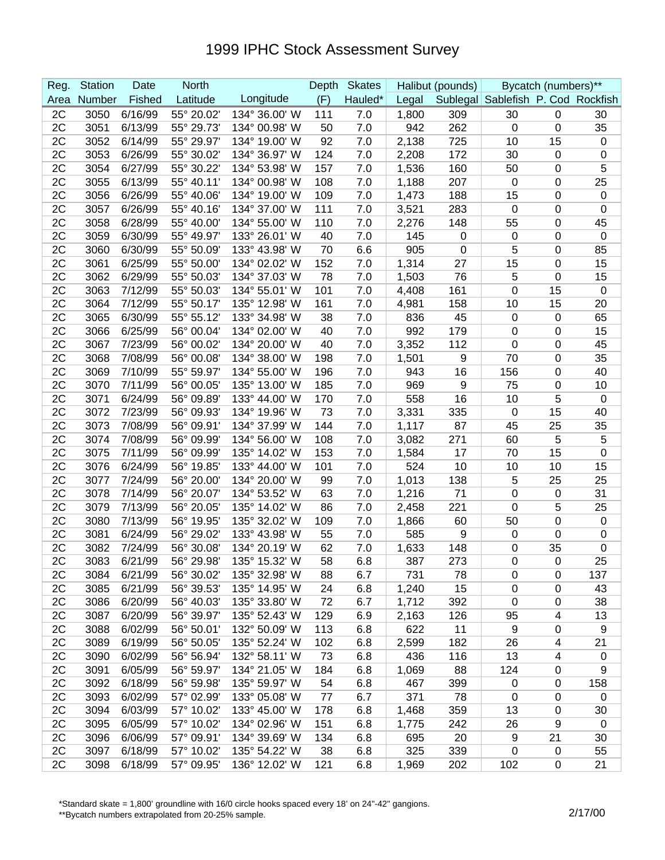## 1999 IPHC Stock Assessment Survey

| Reg. | <b>Station</b> | Date    | <b>North</b> |               | Depth | <b>Skates</b> | Halibut (pounds) |     | Bycatch (numbers)**                |                  |                  |
|------|----------------|---------|--------------|---------------|-------|---------------|------------------|-----|------------------------------------|------------------|------------------|
| Area | Number         | Fished  | Latitude     | Longitude     | (F)   | Hauled*       | Legal            |     | Sublegal Sablefish P. Cod Rockfish |                  |                  |
| 2C   | 3050           | 6/16/99 | 55° 20.02'   | 134° 36.00' W | 111   | 7.0           | 1,800            | 309 | 30                                 | $\mathbf 0$      | 30               |
| 2C   | 3051           | 6/13/99 | 55° 29.73'   | 134° 00.98' W | 50    | 7.0           | 942              | 262 | 0                                  | $\boldsymbol{0}$ | 35               |
| 2C   | 3052           | 6/14/99 | 55° 29.97'   | 134° 19.00' W | 92    | 7.0           | 2,138            | 725 | 10                                 | 15               | $\boldsymbol{0}$ |
| 2C   | 3053           | 6/26/99 | 55° 30.02'   | 134° 36.97' W | 124   | 7.0           | 2,208            | 172 | 30                                 | $\boldsymbol{0}$ | $\mathbf 0$      |
| 2C   | 3054           | 6/27/99 | 55° 30.22'   | 134° 53.98' W | 157   | 7.0           | 1,536            | 160 | 50                                 | 0                | 5                |
| 2C   | 3055           | 6/13/99 | 55° 40.11'   | 134° 00.98' W | 108   | 7.0           | 1,188            | 207 | $\mathbf 0$                        | 0                | 25               |
| 2C   | 3056           | 6/26/99 | 55° 40.06'   | 134° 19.00' W | 109   | 7.0           | 1,473            | 188 | 15                                 | 0                | $\pmb{0}$        |
| 2C   | 3057           | 6/26/99 | 55° 40.16'   | 134° 37.00' W | 111   | 7.0           | 3,521            | 283 | 0                                  | 0                | $\mathbf 0$      |
| 2C   | 3058           | 6/28/99 | 55° 40.00'   | 134° 55.00' W | 110   | 7.0           | 2,276            | 148 | 55                                 | 0                | 45               |
| 2C   | 3059           | 6/30/99 | 55° 49.97'   | 133° 26.01' W | 40    | 7.0           | 145              | 0   | $\mathbf 0$                        | 0                | $\boldsymbol{0}$ |
| 2C   | 3060           | 6/30/99 | 55° 50.09'   | 133° 43.98' W | 70    | 6.6           | 905              | 0   | 5                                  | 0                | 85               |
| 2C   | 3061           | 6/25/99 | 55° 50.00'   | 134° 02.02' W | 152   | 7.0           | 1,314            | 27  | 15                                 | 0                | 15               |
| 2C   | 3062           | 6/29/99 | 55° 50.03'   | 134° 37.03' W | 78    | 7.0           | 1,503            | 76  | 5                                  | 0                | 15               |
| 2C   | 3063           | 7/12/99 | 55° 50.03    | 134° 55.01' W | 101   | 7.0           | 4,408            | 161 | 0                                  | 15               | $\boldsymbol{0}$ |
| 2C   | 3064           | 7/12/99 | 55° 50.17'   | 135° 12.98' W | 161   | 7.0           | 4,981            | 158 | 10                                 | 15               | 20               |
| 2C   | 3065           | 6/30/99 | 55° 55.12'   | 133° 34.98' W | 38    | 7.0           | 836              | 45  | $\mathbf 0$                        | $\boldsymbol{0}$ | 65               |
| 2C   | 3066           | 6/25/99 | 56° 00.04'   | 134° 02.00' W | 40    | 7.0           | 992              | 179 | $\mathbf 0$                        | 0                | 15               |
| 2C   | 3067           | 7/23/99 | 56° 00.02'   | 134° 20.00' W | 40    | 7.0           | 3,352            | 112 | $\mathbf 0$                        | 0                | 45               |
| 2C   | 3068           | 7/08/99 | 56° 00.08'   | 134° 38.00' W | 198   | 7.0           | 1,501            | 9   | 70                                 | 0                | 35               |
| 2C   | 3069           | 7/10/99 | 55° 59.97'   | 134° 55.00' W | 196   | 7.0           | 943              | 16  | 156                                | 0                | 40               |
| 2C   | 3070           | 7/11/99 | 56° 00.05'   | 135° 13.00' W | 185   | 7.0           | 969              | 9   | 75                                 | 0                | 10               |
| 2C   | 3071           | 6/24/99 | 56° 09.89'   | 133° 44.00' W | 170   | 7.0           | 558              | 16  | 10                                 | 5                | $\boldsymbol{0}$ |
| 2C   | 3072           | 7/23/99 | 56° 09.93'   | 134° 19.96' W | 73    | 7.0           | 3,331            | 335 | 0                                  | 15               | 40               |
| 2C   | 3073           | 7/08/99 | 56° 09.91'   | 134° 37.99' W | 144   | 7.0           | 1,117            | 87  | 45                                 | 25               | 35               |
| 2C   | 3074           | 7/08/99 | 56° 09.99    | 134° 56.00' W | 108   | 7.0           | 3,082            | 271 | 60                                 | 5                | 5                |
| 2C   | 3075           | 7/11/99 | 56° 09.99'   | 135° 14.02' W | 153   | 7.0           | 1,584            | 17  | 70                                 | 15               | $\boldsymbol{0}$ |
| 2C   | 3076           | 6/24/99 | 56° 19.85'   | 133° 44.00' W | 101   | 7.0           | 524              | 10  | 10                                 | 10               | 15               |
| 2C   | 3077           | 7/24/99 | 56° 20.00'   | 134° 20.00' W | 99    | 7.0           | 1,013            | 138 | 5                                  | 25               | 25               |
| 2C   | 3078           | 7/14/99 | 56° 20.07'   | 134° 53.52' W | 63    | 7.0           | 1,216            | 71  | $\mathbf 0$                        | $\mathbf 0$      | 31               |
| 2C   | 3079           | 7/13/99 | 56° 20.05'   | 135° 14.02' W | 86    | 7.0           | 2,458            | 221 | 0                                  | 5                | 25               |
| 2C   | 3080           | 7/13/99 | 56° 19.95'   | 135° 32.02' W | 109   | 7.0           | 1,866            | 60  | 50                                 | 0                | $\boldsymbol{0}$ |
| 2C   | 3081           | 6/24/99 | 56° 29.02'   | 133° 43.98' W | 55    | 7.0           | 585              | 9   | $\mathbf 0$                        | 0                | $\mathbf 0$      |
| 2C   | 3082           | 7/24/99 | 56° 30.08'   | 134° 20.19' W | 62    | 7.0           | 1,633            | 148 | 0                                  | 35               | 0                |
| 2C   | 3083           | 6/21/99 | 56° 29.98'   | 135° 15.32' W | 58    | 6.8           | 387              | 273 | $\Omega$                           | $\Omega$         | 25               |
| 2C   | 3084           | 6/21/99 | 56° 30.02'   | 135° 32.98' W | 88    | 6.7           | 731              | 78  | $\overline{0}$                     | 0                | 137              |
| 2C   | 3085           | 6/21/99 | 56° 39.53'   | 135° 14.95' W | 24    | 6.8           | 1,240            | 15  | $\mathbf 0$                        | 0                | 43               |
| 2C   | 3086           | 6/20/99 | 56° 40.03'   | 135° 33.80' W | 72    | 6.7           | 1,712            | 392 | $\mathbf 0$                        | 0                | 38               |
| 2C   | 3087           | 6/20/99 | 56° 39.97'   | 135° 52.43' W | 129   | 6.9           | 2,163            | 126 | 95                                 | 4                | 13               |
| 2C   | 3088           | 6/02/99 | 56° 50.01'   | 132° 50.09' W | 113   | 6.8           | 622              | 11  | 9                                  | $\pmb{0}$        | 9                |
| 2C   | 3089           | 6/19/99 | 56° 50.05'   | 135° 52.24' W | 102   | 6.8           | 2,599            | 182 | 26                                 | 4                | 21               |
| 2C   | 3090           | 6/02/99 | 56° 56.94'   | 132° 58.11' W | 73    | 6.8           | 436              | 116 | 13                                 | $\overline{4}$   | $\mathbf 0$      |
| 2C   | 3091           | 6/05/99 | 56° 59.97'   | 134° 21.05' W | 184   | 6.8           | 1,069            | 88  | 124                                | 0                | 9                |
| 2C   | 3092           | 6/18/99 | 56° 59.98'   | 135° 59.97' W | 54    | 6.8           | 467              | 399 | 0                                  | 0                | 158              |
| 2C   | 3093           | 6/02/99 | 57° 02.99'   | 133° 05.08' W | 77    | 6.7           | 371              | 78  | $\mathbf 0$                        | 0                | $\mathbf 0$      |
| 2C   | 3094           | 6/03/99 | 57° 10.02'   | 133° 45.00' W | 178   | 6.8           | 1,468            | 359 | 13                                 | 0                | 30               |
| 2C   | 3095           | 6/05/99 | 57° 10.02'   | 134° 02.96' W | 151   | 6.8           | 1,775            | 242 | 26                                 | 9                | $\mathbf 0$      |
| 2C   | 3096           | 6/06/99 | 57° 09.91'   | 134° 39.69' W | 134   | 6.8           | 695              | 20  | 9                                  | 21               | 30               |
| 2C   | 3097           | 6/18/99 | 57° 10.02'   | 135° 54.22' W | 38    | 6.8           | 325              | 339 | 0                                  | 0                | 55               |
| 2C   | 3098           | 6/18/99 | 57° 09.95'   | 136° 12.02' W | 121   | 6.8           | 1,969            | 202 | 102                                | $\pmb{0}$        | 21               |

\*Standard skate = 1,800' groundline with 16/0 circle hooks spaced every 18' on 24"-42" gangions.

\*\*Bycatch numbers extrapolated from 20-25% sample.<br>\*\*Bycatch numbers extrapolated from 20-25% sample.